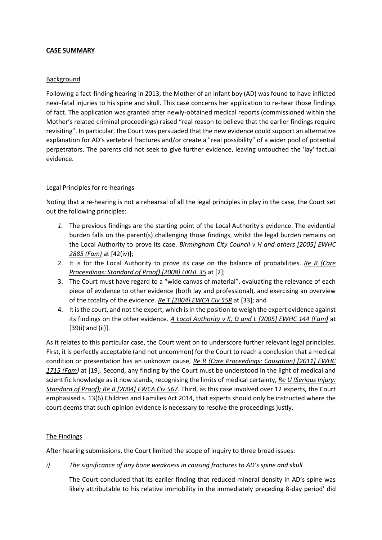### **CASE SUMMARY**

### **Background**

Following a fact-finding hearing in 2013, the Mother of an infant boy (AD) was found to have inflicted near-fatal injuries to his spine and skull. This case concerns her application to re-hear those findings of fact. The application was granted after newly-obtained medical reports (commissioned within the Mother's related criminal proceedings) raised "real reason to believe that the earlier findings require revisiting". In particular, the Court was persuaded that the new evidence could support an alternative explanation for AD's vertebral fractures and/or create a "real possibility" of a wider pool of potential perpetrators. The parents did not seek to give further evidence, leaving untouched the 'lay' factual evidence.

# Legal Principles for re-hearings

Noting that a re-hearing is not a rehearsal of all the legal principles in play in the case, the Court set out the following principles:

- *1.* The previous findings are the starting point of the Local Authority's evidence. The evidential burden falls on the parent(s) challenging those findings, whilst the legal burden remains on the Local Authority to prove its case. *Birmingham City Council v H and others [2005] EWHC 2885 (Fam)* at [42(iv)];
- 2. It is for the Local Authority to prove its case on the balance of probabilities. *Re B (Care Proceedings: Standard of Proof) [2008] UKHL 35* at [2];
- 3. The Court must have regard to a "wide canvas of material", evaluating the relevance of each piece of evidence to other evidence (both lay and professional), and exercising an overview of the totality of the evidence. *Re T [2004] EWCA Civ 558* at [33]; and
- 4. It is the court, and not the expert, which is in the position to weigh the expert evidence against its findings on the other evidence. *A Local Authority v K, D and L [2005] EWHC 144 (Fam)* at [39(i) and (ii)].

As it relates to this particular case, the Court went on to underscore further relevant legal principles. First, it is perfectly acceptable (and not uncommon) for the Court to reach a conclusion that a medical condition or presentation has an unknown cause, *Re R (Care Proceedings: Causation) [2011] EWHC 1715 (Fam)* at [19]. Second, any finding by the Court must be understood in the light of medical and scientific knowledge as it now stands, recognising the limits of medical certainty, *Re U (Serious Injury: Standard of Proof); Re B [2004] EWCA Civ 567*. Third, as this case involved over 12 experts, the Court emphasised s. 13(6) Children and Families Act 2014, that experts should only be instructed where the court deems that such opinion evidence is necessary to resolve the proceedings justly.

# The Findings

After hearing submissions, the Court limited the scope of inquiry to three broad issues:

*i) The significance of any bone weakness in causing fractures to AD's spine and skull* 

The Court concluded that its earlier finding that reduced mineral density in AD's spine was likely attributable to his relative immobility in the immediately preceding 8-day period' did